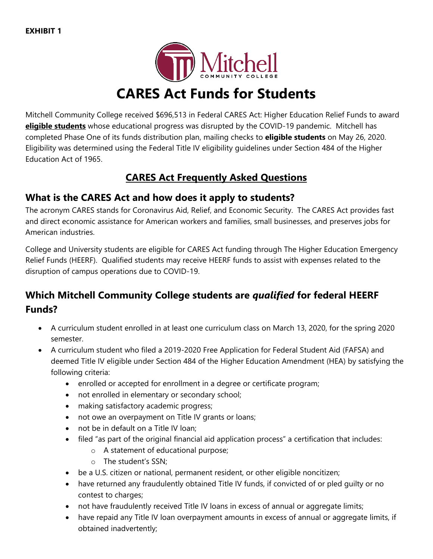

# **CARES Act Funds for Students**

Mitchell Community College received \$696,513 in Federal CARES Act: Higher Education Relief Funds to award **eligible students** whose educational progress was disrupted by the COVID-19 pandemic. Mitchell has completed Phase One of its funds distribution plan, mailing checks to **eligible students** on May 26, 2020. Eligibility was determined using the Federal Title IV eligibility guidelines under Section 484 of the Higher Education Act of 1965.

## **CARES Act Frequently Asked Questions**

### **What is the CARES Act and how does it apply to students?**

The acronym CARES stands for Coronavirus Aid, Relief, and Economic Security. The CARES Act provides fast and direct economic assistance for American workers and families, small businesses, and preserves jobs for American industries.

College and University students are eligible for CARES Act funding through The Higher Education Emergency Relief Funds (HEERF). Qualified students may receive HEERF funds to assist with expenses related to the disruption of campus operations due to COVID-19.

# **Which Mitchell Community College students are** *qualified* **for federal HEERF Funds?**

- A curriculum student enrolled in at least one curriculum class on March 13, 2020, for the spring 2020 semester.
- A curriculum student who filed a 2019-2020 Free Application for Federal Student Aid (FAFSA) and deemed Title IV eligible under Section 484 of the Higher Education Amendment (HEA) by satisfying the following criteria:
	- enrolled or accepted for enrollment in a degree or certificate program;
	- not enrolled in elementary or secondary school;
	- making satisfactory academic progress;
	- not owe an overpayment on Title IV grants or loans;
	- not be in default on a Title IV loan:
	- filed "as part of the original financial aid application process" a certification that includes:
		- o A statement of educational purpose;
		- o The student's SSN;
	- be a U.S. citizen or national, permanent resident, or other eligible noncitizen;
	- have returned any fraudulently obtained Title IV funds, if convicted of or pled guilty or no contest to charges;
	- not have fraudulently received Title IV loans in excess of annual or aggregate limits;
	- have repaid any Title IV loan overpayment amounts in excess of annual or aggregate limits, if obtained inadvertently;